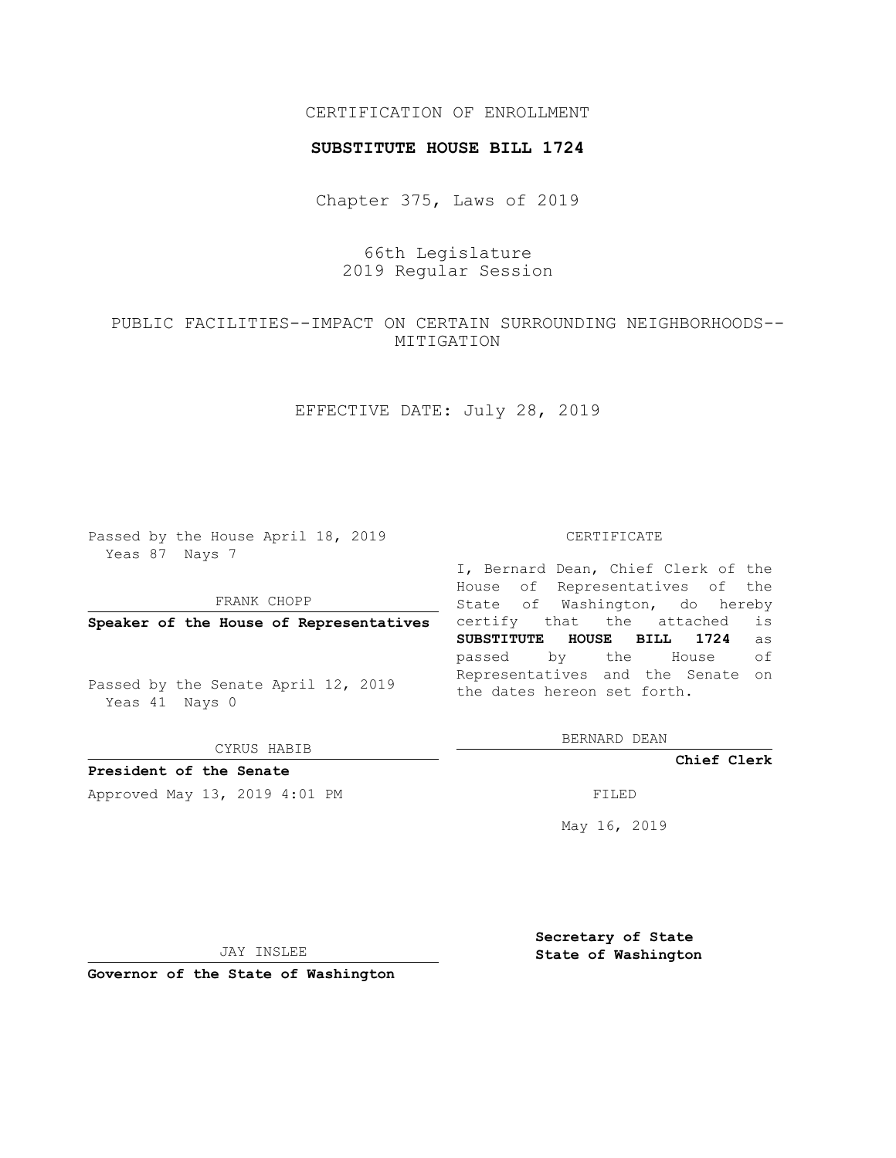## CERTIFICATION OF ENROLLMENT

### **SUBSTITUTE HOUSE BILL 1724**

Chapter 375, Laws of 2019

66th Legislature 2019 Regular Session

PUBLIC FACILITIES--IMPACT ON CERTAIN SURROUNDING NEIGHBORHOODS-- MITIGATION

EFFECTIVE DATE: July 28, 2019

Passed by the House April 18, 2019 Yeas 87 Nays 7

FRANK CHOPP

**Speaker of the House of Representatives**

Passed by the Senate April 12, 2019 Yeas 41 Nays 0

CYRUS HABIB

**President of the Senate**

Approved May 13, 2019 4:01 PM FILED

#### CERTIFICATE

I, Bernard Dean, Chief Clerk of the House of Representatives of the State of Washington, do hereby certify that the attached is **SUBSTITUTE HOUSE BILL 1724** as passed by the House of Representatives and the Senate on the dates hereon set forth.

BERNARD DEAN

**Chief Clerk**

May 16, 2019

JAY INSLEE

**Governor of the State of Washington**

**Secretary of State State of Washington**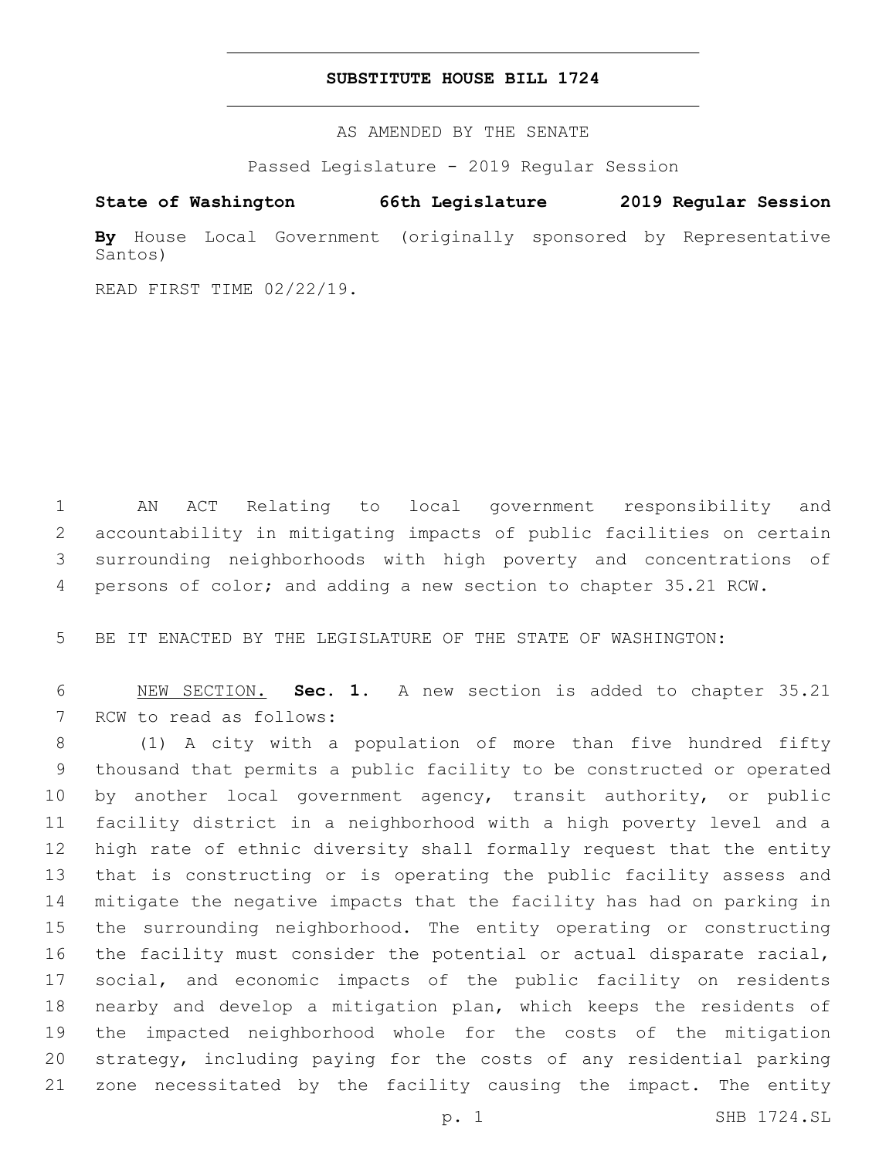## **SUBSTITUTE HOUSE BILL 1724**

AS AMENDED BY THE SENATE

Passed Legislature - 2019 Regular Session

# **State of Washington 66th Legislature 2019 Regular Session**

**By** House Local Government (originally sponsored by Representative Santos)

READ FIRST TIME 02/22/19.

 AN ACT Relating to local government responsibility and accountability in mitigating impacts of public facilities on certain surrounding neighborhoods with high poverty and concentrations of persons of color; and adding a new section to chapter 35.21 RCW.

BE IT ENACTED BY THE LEGISLATURE OF THE STATE OF WASHINGTON:

 NEW SECTION. **Sec. 1.** A new section is added to chapter 35.21 7 RCW to read as follows:

 (1) A city with a population of more than five hundred fifty thousand that permits a public facility to be constructed or operated by another local government agency, transit authority, or public facility district in a neighborhood with a high poverty level and a high rate of ethnic diversity shall formally request that the entity that is constructing or is operating the public facility assess and mitigate the negative impacts that the facility has had on parking in the surrounding neighborhood. The entity operating or constructing the facility must consider the potential or actual disparate racial, social, and economic impacts of the public facility on residents nearby and develop a mitigation plan, which keeps the residents of the impacted neighborhood whole for the costs of the mitigation strategy, including paying for the costs of any residential parking zone necessitated by the facility causing the impact. The entity

p. 1 SHB 1724.SL